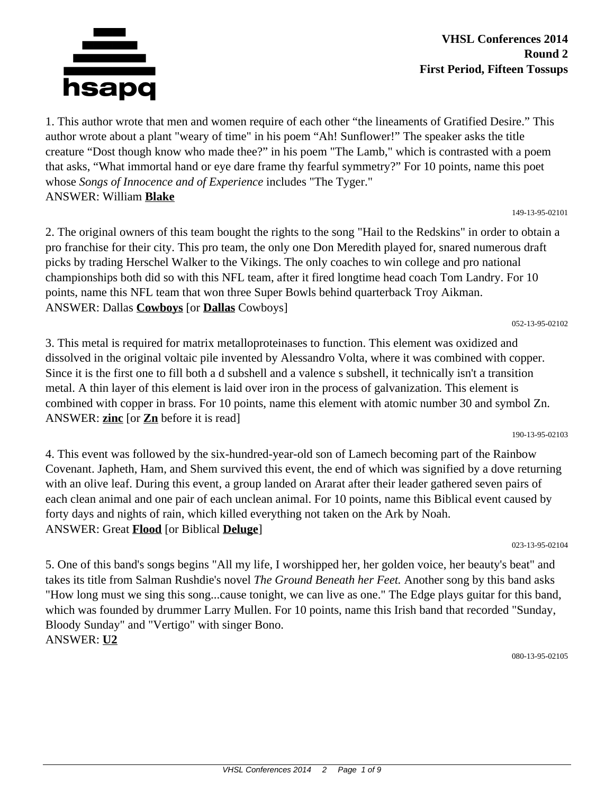

#### **VHSL Conferences 2014 Round 2 First Period, Fifteen Tossups**

1. This author wrote that men and women require of each other "the lineaments of Gratified Desire." This author wrote about a plant "weary of time" in his poem "Ah! Sunflower!" The speaker asks the title creature "Dost though know who made thee?" in his poem "The Lamb," which is contrasted with a poem that asks, "What immortal hand or eye dare frame thy fearful symmetry?" For 10 points, name this poet whose *Songs of Innocence and of Experience* includes "The Tyger." ANSWER: William **Blake**

149-13-95-02101

052-13-95-02102

2. The original owners of this team bought the rights to the song "Hail to the Redskins" in order to obtain a pro franchise for their city. This pro team, the only one Don Meredith played for, snared numerous draft picks by trading Herschel Walker to the Vikings. The only coaches to win college and pro national championships both did so with this NFL team, after it fired longtime head coach Tom Landry. For 10 points, name this NFL team that won three Super Bowls behind quarterback Troy Aikman. ANSWER: Dallas **Cowboys** [or **Dallas** Cowboys]

3. This metal is required for matrix metalloproteinases to function. This element was oxidized and dissolved in the original voltaic pile invented by Alessandro Volta, where it was combined with copper. Since it is the first one to fill both a d subshell and a valence s subshell, it technically isn't a transition metal. A thin layer of this element is laid over iron in the process of galvanization. This element is combined with copper in brass. For 10 points, name this element with atomic number 30 and symbol Zn. ANSWER: **zinc** [or **Zn** before it is read]

190-13-95-02103

4. This event was followed by the six-hundred-year-old son of Lamech becoming part of the Rainbow Covenant. Japheth, Ham, and Shem survived this event, the end of which was signified by a dove returning with an olive leaf. During this event, a group landed on Ararat after their leader gathered seven pairs of each clean animal and one pair of each unclean animal. For 10 points, name this Biblical event caused by forty days and nights of rain, which killed everything not taken on the Ark by Noah. ANSWER: Great **Flood** [or Biblical **Deluge**]

023-13-95-02104

5. One of this band's songs begins "All my life, I worshipped her, her golden voice, her beauty's beat" and takes its title from Salman Rushdie's novel *The Ground Beneath her Feet.* Another song by this band asks "How long must we sing this song...cause tonight, we can live as one." The Edge plays guitar for this band, which was founded by drummer Larry Mullen. For 10 points, name this Irish band that recorded "Sunday, Bloody Sunday" and "Vertigo" with singer Bono. ANSWER: **U2**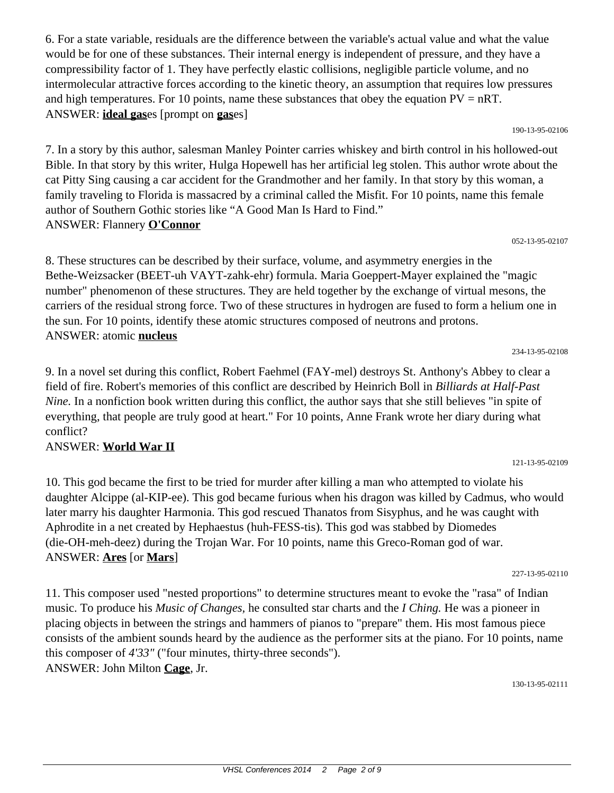6. For a state variable, residuals are the difference between the variable's actual value and what the value would be for one of these substances. Their internal energy is independent of pressure, and they have a compressibility factor of 1. They have perfectly elastic collisions, negligible particle volume, and no intermolecular attractive forces according to the kinetic theory, an assumption that requires low pressures and high temperatures. For 10 points, name these substances that obey the equation  $PV = nRT$ . ANSWER: **ideal gas**es [prompt on **gas**es]

190-13-95-02106

7. In a story by this author, salesman Manley Pointer carries whiskey and birth control in his hollowed-out Bible. In that story by this writer, Hulga Hopewell has her artificial leg stolen. This author wrote about the cat Pitty Sing causing a car accident for the Grandmother and her family. In that story by this woman, a family traveling to Florida is massacred by a criminal called the Misfit. For 10 points, name this female author of Southern Gothic stories like "A Good Man Is Hard to Find." ANSWER: Flannery **O'Connor**

052-13-95-02107

8. These structures can be described by their surface, volume, and asymmetry energies in the Bethe-Weizsacker (BEET-uh VAYT-zahk-ehr) formula. Maria Goeppert-Mayer explained the "magic number" phenomenon of these structures. They are held together by the exchange of virtual mesons, the carriers of the residual strong force. Two of these structures in hydrogen are fused to form a helium one in the sun. For 10 points, identify these atomic structures composed of neutrons and protons. ANSWER: atomic **nucleus**

9. In a novel set during this conflict, Robert Faehmel (FAY-mel) destroys St. Anthony's Abbey to clear a field of fire. Robert's memories of this conflict are described by Heinrich Boll in *Billiards at Half-Past Nine.* In a nonfiction book written during this conflict, the author says that she still believes "in spite of everything, that people are truly good at heart." For 10 points, Anne Frank wrote her diary during what conflict?

## ANSWER: **World War II**

10. This god became the first to be tried for murder after killing a man who attempted to violate his daughter Alcippe (al-KIP-ee). This god became furious when his dragon was killed by Cadmus, who would later marry his daughter Harmonia. This god rescued Thanatos from Sisyphus, and he was caught with Aphrodite in a net created by Hephaestus (huh-FESS-tis). This god was stabbed by Diomedes (die-OH-meh-deez) during the Trojan War. For 10 points, name this Greco-Roman god of war. ANSWER: **Ares** [or **Mars**]

11. This composer used "nested proportions" to determine structures meant to evoke the "rasa" of Indian music. To produce his *Music of Changes,* he consulted star charts and the *I Ching.* He was a pioneer in placing objects in between the strings and hammers of pianos to "prepare" them. His most famous piece consists of the ambient sounds heard by the audience as the performer sits at the piano. For 10 points, name this composer of *4'33"* ("four minutes, thirty-three seconds"). ANSWER: John Milton **Cage**, Jr.

130-13-95-02111

121-13-95-02109

234-13-95-02108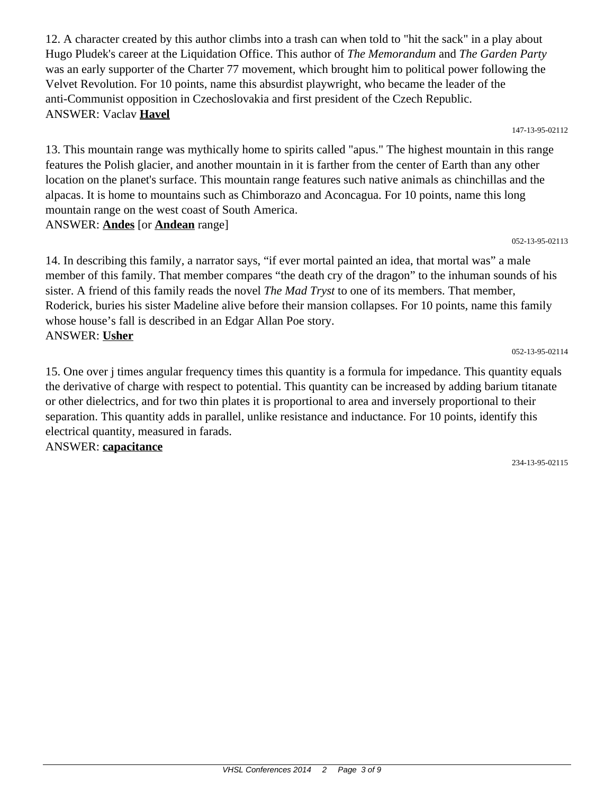12. A character created by this author climbs into a trash can when told to "hit the sack" in a play about Hugo Pludek's career at the Liquidation Office. This author of *The Memorandum* and *The Garden Party* was an early supporter of the Charter 77 movement, which brought him to political power following the Velvet Revolution. For 10 points, name this absurdist playwright, who became the leader of the anti-Communist opposition in Czechoslovakia and first president of the Czech Republic. ANSWER: Vaclav **Havel**

147-13-95-02112

052-13-95-02113

052-13-95-02114

13. This mountain range was mythically home to spirits called "apus." The highest mountain in this range features the Polish glacier, and another mountain in it is farther from the center of Earth than any other location on the planet's surface. This mountain range features such native animals as chinchillas and the alpacas. It is home to mountains such as Chimborazo and Aconcagua. For 10 points, name this long mountain range on the west coast of South America.

ANSWER: **Andes** [or **Andean** range]

14. In describing this family, a narrator says, "if ever mortal painted an idea, that mortal was" a male member of this family. That member compares "the death cry of the dragon" to the inhuman sounds of his sister. A friend of this family reads the novel *The Mad Tryst* to one of its members. That member, Roderick, buries his sister Madeline alive before their mansion collapses. For 10 points, name this family whose house's fall is described in an Edgar Allan Poe story. ANSWER: **Usher**

15. One over j times angular frequency times this quantity is a formula for impedance. This quantity equals the derivative of charge with respect to potential. This quantity can be increased by adding barium titanate or other dielectrics, and for two thin plates it is proportional to area and inversely proportional to their separation. This quantity adds in parallel, unlike resistance and inductance. For 10 points, identify this electrical quantity, measured in farads. ANSWER: **capacitance**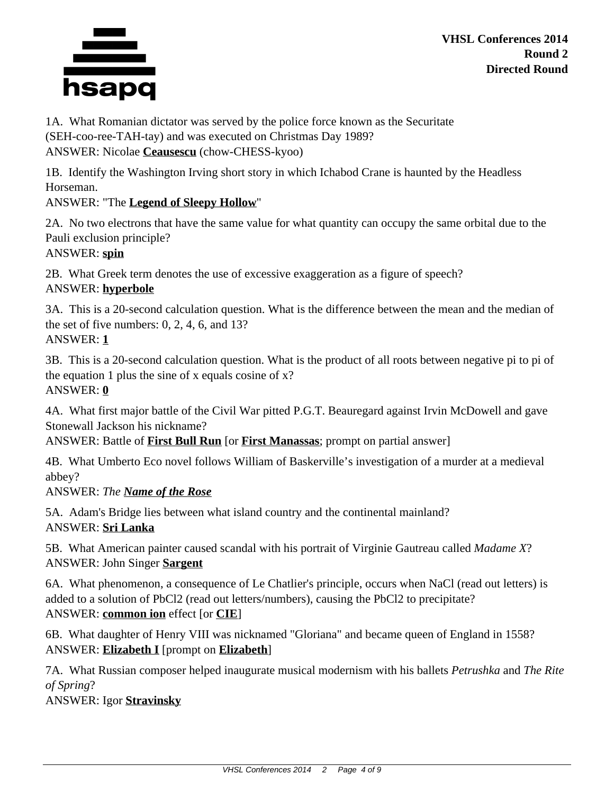

**VHSL Conferences 2014 Round 2 Directed Round**

1A. What Romanian dictator was served by the police force known as the Securitate (SEH-coo-ree-TAH-tay) and was executed on Christmas Day 1989? ANSWER: Nicolae **Ceausescu** (chow-CHESS-kyoo)

1B. Identify the Washington Irving short story in which Ichabod Crane is haunted by the Headless Horseman.

## ANSWER: "The **Legend of Sleepy Hollow**"

2A. No two electrons that have the same value for what quantity can occupy the same orbital due to the Pauli exclusion principle?

ANSWER: **spin**

2B. What Greek term denotes the use of excessive exaggeration as a figure of speech? ANSWER: **hyperbole**

3A. This is a 20-second calculation question. What is the difference between the mean and the median of the set of five numbers: 0, 2, 4, 6, and 13? ANSWER: **1**

3B. This is a 20-second calculation question. What is the product of all roots between negative pi to pi of the equation 1 plus the sine of x equals cosine of  $x$ ? ANSWER: **0**

4A. What first major battle of the Civil War pitted P.G.T. Beauregard against Irvin McDowell and gave Stonewall Jackson his nickname?

ANSWER: Battle of **First Bull Run** [or **First Manassas**; prompt on partial answer]

4B. What Umberto Eco novel follows William of Baskerville's investigation of a murder at a medieval abbey?

ANSWER: *The Name of the Rose*

5A. Adam's Bridge lies between what island country and the continental mainland? ANSWER: **Sri Lanka**

5B. What American painter caused scandal with his portrait of Virginie Gautreau called *Madame X*? ANSWER: John Singer **Sargent**

6A. What phenomenon, a consequence of Le Chatlier's principle, occurs when NaCl (read out letters) is added to a solution of PbCl2 (read out letters/numbers), causing the PbCl2 to precipitate? ANSWER: **common ion** effect [or **CIE**]

6B. What daughter of Henry VIII was nicknamed "Gloriana" and became queen of England in 1558? ANSWER: **Elizabeth I** [prompt on **Elizabeth**]

7A. What Russian composer helped inaugurate musical modernism with his ballets *Petrushka* and *The Rite of Spring*?

ANSWER: Igor **Stravinsky**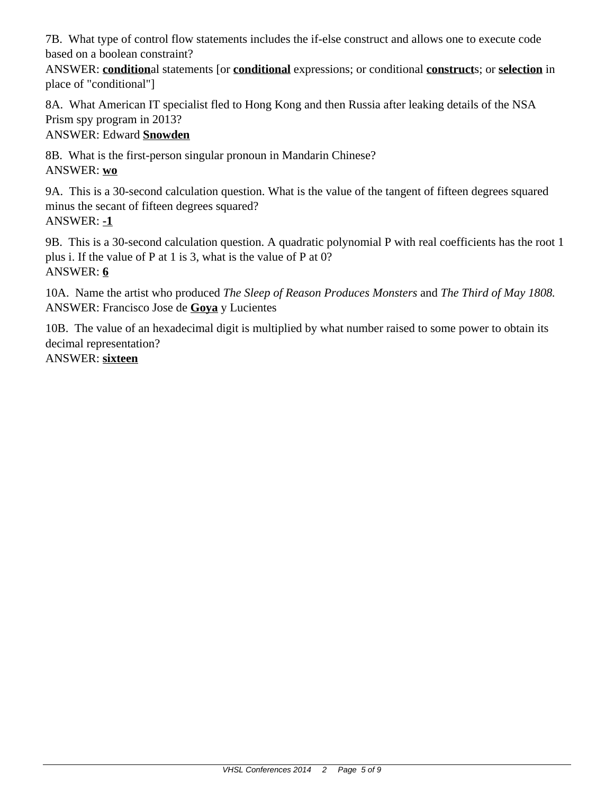7B. What type of control flow statements includes the if-else construct and allows one to execute code based on a boolean constraint?

ANSWER: **condition**al statements [or **conditional** expressions; or conditional **construct**s; or **selection** in place of "conditional"]

8A. What American IT specialist fled to Hong Kong and then Russia after leaking details of the NSA Prism spy program in 2013?

# ANSWER: Edward **Snowden**

8B. What is the first-person singular pronoun in Mandarin Chinese? ANSWER: **wo**

9A. This is a 30-second calculation question. What is the value of the tangent of fifteen degrees squared minus the secant of fifteen degrees squared? ANSWER: **-1**

9B. This is a 30-second calculation question. A quadratic polynomial P with real coefficients has the root 1 plus i. If the value of P at 1 is 3, what is the value of P at 0? ANSWER: **6**

10A. Name the artist who produced *The Sleep of Reason Produces Monsters* and *The Third of May 1808.* ANSWER: Francisco Jose de **Goya** y Lucientes

10B. The value of an hexadecimal digit is multiplied by what number raised to some power to obtain its decimal representation? ANSWER: **sixteen**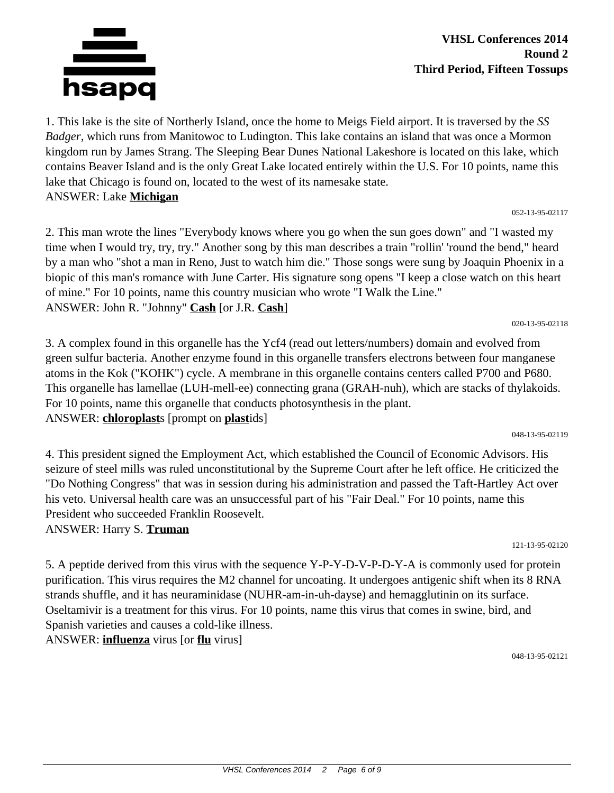

ANSWER: John R. "Johnny" **Cash** [or J.R. **Cash**]

3. A complex found in this organelle has the Ycf4 (read out letters/numbers) domain and evolved from green sulfur bacteria. Another enzyme found in this organelle transfers electrons between four manganese atoms in the Kok ("KOHK") cycle. A membrane in this organelle contains centers called P700 and P680. This organelle has lamellae (LUH-mell-ee) connecting grana (GRAH-nuh), which are stacks of thylakoids. For 10 points, name this organelle that conducts photosynthesis in the plant. ANSWER: **chloroplast**s [prompt on **plast**ids] 048-13-95-02119

1. This lake is the site of Northerly Island, once the home to Meigs Field airport. It is traversed by the *SS Badger,* which runs from Manitowoc to Ludington. This lake contains an island that was once a Mormon kingdom run by James Strang. The Sleeping Bear Dunes National Lakeshore is located on this lake, which

2. This man wrote the lines "Everybody knows where you go when the sun goes down" and "I wasted my time when I would try, try, try." Another song by this man describes a train "rollin' 'round the bend," heard by a man who "shot a man in Reno, Just to watch him die." Those songs were sung by Joaquin Phoenix in a biopic of this man's romance with June Carter. His signature song opens "I keep a close watch on this heart

of mine." For 10 points, name this country musician who wrote "I Walk the Line."

4. This president signed the Employment Act, which established the Council of Economic Advisors. His seizure of steel mills was ruled unconstitutional by the Supreme Court after he left office. He criticized the "Do Nothing Congress" that was in session during his administration and passed the Taft-Hartley Act over his veto. Universal health care was an unsuccessful part of his "Fair Deal." For 10 points, name this President who succeeded Franklin Roosevelt.

ANSWER: Harry S. **Truman**

5. A peptide derived from this virus with the sequence Y-P-Y-D-V-P-D-Y-A is commonly used for protein purification. This virus requires the M2 channel for uncoating. It undergoes antigenic shift when its 8 RNA strands shuffle, and it has neuraminidase (NUHR-am-in-uh-dayse) and hemagglutinin on its surface. Oseltamivir is a treatment for this virus. For 10 points, name this virus that comes in swine, bird, and Spanish varieties and causes a cold-like illness. ANSWER: **influenza** virus [or **flu** virus]

048-13-95-02121

contains Beaver Island and is the only Great Lake located entirely within the U.S. For 10 points, name this lake that Chicago is found on, located to the west of its namesake state.

#### 052-13-95-02117

020-13-95-02118

121-13-95-02120



ANSWER: Lake **Michigan**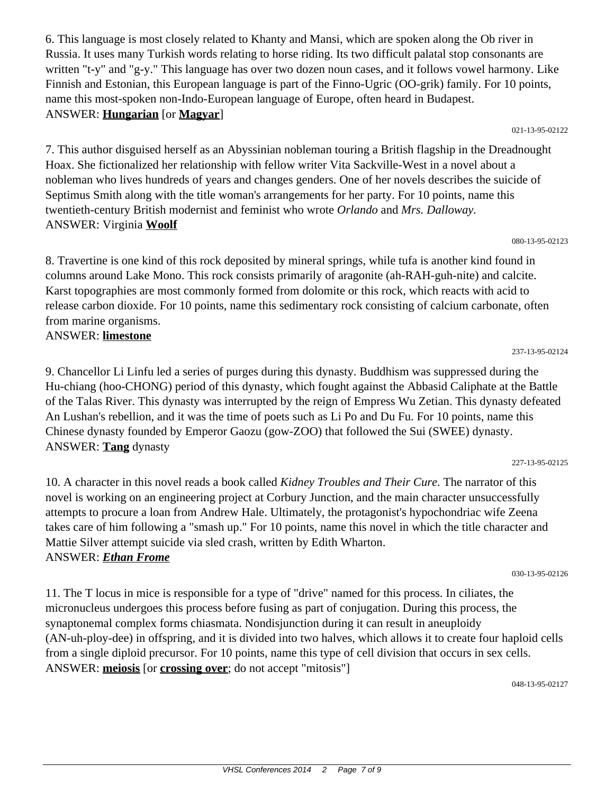6. This language is most closely related to Khanty and Mansi, which are spoken along the Ob river in Russia. It uses many Turkish words relating to horse riding. Its two difficult palatal stop consonants are written "t-y" and "g-y." This language has over two dozen noun cases, and it follows vowel harmony. Like Finnish and Estonian, this European language is part of the Finno-Ugric (OO-grik) family. For 10 points, name this most-spoken non-Indo-European language of Europe, often heard in Budapest. ANSWER: **Hungarian** [or **Magyar**]

021-13-95-02122

080-13-95-02123

237-13-95-02124

7. This author disguised herself as an Abyssinian nobleman touring a British flagship in the Dreadnought Hoax. She fictionalized her relationship with fellow writer Vita Sackville-West in a novel about a nobleman who lives hundreds of years and changes genders. One of her novels describes the suicide of Septimus Smith along with the title woman's arrangements for her party. For 10 points, name this twentieth-century British modernist and feminist who wrote *Orlando* and *Mrs. Dalloway.* ANSWER: Virginia **Woolf**

8. Travertine is one kind of this rock deposited by mineral springs, while tufa is another kind found in columns around Lake Mono. This rock consists primarily of aragonite (ah-RAH-guh-nite) and calcite. Karst topographies are most commonly formed from dolomite or this rock, which reacts with acid to release carbon dioxide. For 10 points, name this sedimentary rock consisting of calcium carbonate, often from marine organisms.

#### ANSWER: **limestone**

9. Chancellor Li Linfu led a series of purges during this dynasty. Buddhism was suppressed during the Hu-chiang (hoo-CHONG) period of this dynasty, which fought against the Abbasid Caliphate at the Battle of the Talas River. This dynasty was interrupted by the reign of Empress Wu Zetian. This dynasty defeated An Lushan's rebellion, and it was the time of poets such as Li Po and Du Fu. For 10 points, name this Chinese dynasty founded by Emperor Gaozu (gow-ZOO) that followed the Sui (SWEE) dynasty. ANSWER: **Tang** dynasty

227-13-95-02125

10. A character in this novel reads a book called *Kidney Troubles and Their Cure.* The narrator of this novel is working on an engineering project at Corbury Junction, and the main character unsuccessfully attempts to procure a loan from Andrew Hale. Ultimately, the protagonist's hypochondriac wife Zeena takes care of him following a "smash up." For 10 points, name this novel in which the title character and Mattie Silver attempt suicide via sled crash, written by Edith Wharton. ANSWER: *Ethan Frome*

030-13-95-02126

11. The T locus in mice is responsible for a type of "drive" named for this process. In ciliates, the micronucleus undergoes this process before fusing as part of conjugation. During this process, the synaptonemal complex forms chiasmata. Nondisjunction during it can result in aneuploidy (AN-uh-ploy-dee) in offspring, and it is divided into two halves, which allows it to create four haploid cells from a single diploid precursor. For 10 points, name this type of cell division that occurs in sex cells. ANSWER: **meiosis** [or **crossing over**; do not accept "mitosis"]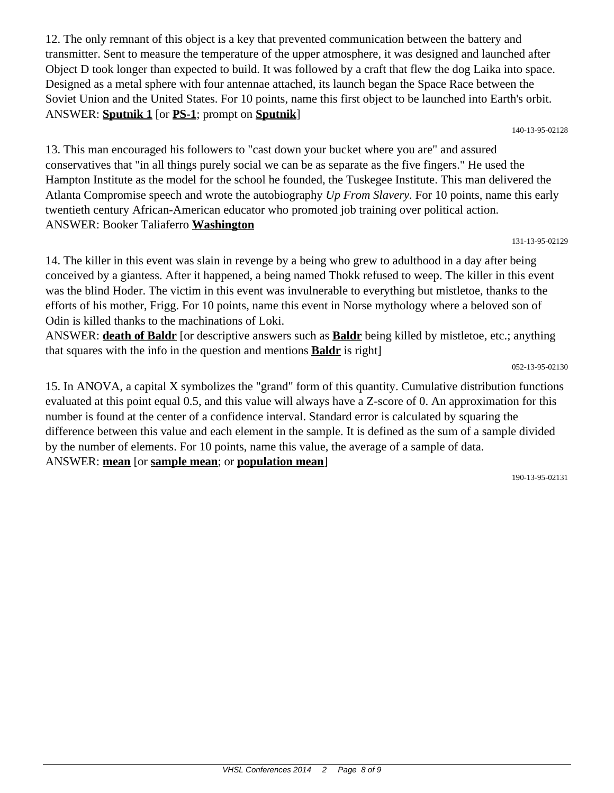12. The only remnant of this object is a key that prevented communication between the battery and transmitter. Sent to measure the temperature of the upper atmosphere, it was designed and launched after Object D took longer than expected to build. It was followed by a craft that flew the dog Laika into space. Designed as a metal sphere with four antennae attached, its launch began the Space Race between the Soviet Union and the United States. For 10 points, name this first object to be launched into Earth's orbit. ANSWER: **Sputnik 1** [or **PS-1**; prompt on **Sputnik**]

140-13-95-02128

13. This man encouraged his followers to "cast down your bucket where you are" and assured conservatives that "in all things purely social we can be as separate as the five fingers." He used the Hampton Institute as the model for the school he founded, the Tuskegee Institute. This man delivered the Atlanta Compromise speech and wrote the autobiography *Up From Slavery.* For 10 points, name this early twentieth century African-American educator who promoted job training over political action. ANSWER: Booker Taliaferro **Washington**

131-13-95-02129

14. The killer in this event was slain in revenge by a being who grew to adulthood in a day after being conceived by a giantess. After it happened, a being named Thokk refused to weep. The killer in this event was the blind Hoder. The victim in this event was invulnerable to everything but mistletoe, thanks to the efforts of his mother, Frigg. For 10 points, name this event in Norse mythology where a beloved son of Odin is killed thanks to the machinations of Loki.

ANSWER: **death of Baldr** [or descriptive answers such as **Baldr** being killed by mistletoe, etc.; anything that squares with the info in the question and mentions **Baldr** is right]

052-13-95-02130

15. In ANOVA, a capital X symbolizes the "grand" form of this quantity. Cumulative distribution functions evaluated at this point equal 0.5, and this value will always have a Z-score of 0. An approximation for this number is found at the center of a confidence interval. Standard error is calculated by squaring the difference between this value and each element in the sample. It is defined as the sum of a sample divided by the number of elements. For 10 points, name this value, the average of a sample of data. ANSWER: **mean** [or **sample mean**; or **population mean**]